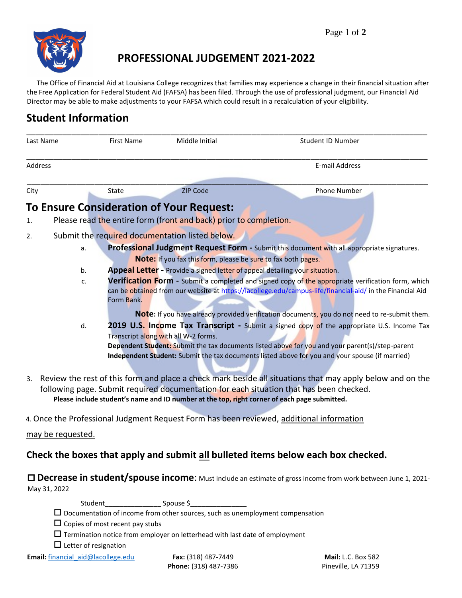

# **PROFESSIONAL JUDGEMENT 2021-2022**

The Office of Financial Aid at Louisiana College recognizes that families may experience a change in their financial situation after the Free Application for Federal Student Aid (FAFSA) has been filed. Through the use of professional judgment, our Financial Aid Director may be able to make adjustments to your FAFSA which could result in a recalculation of your eligibility.

# **Student Information**

| Last Name |                                                                                                                                                                                                      | <b>First Name</b>                                                                                  | Middle Initial                                                    | Student ID Number                                                                                         |  |  |  |
|-----------|------------------------------------------------------------------------------------------------------------------------------------------------------------------------------------------------------|----------------------------------------------------------------------------------------------------|-------------------------------------------------------------------|-----------------------------------------------------------------------------------------------------------|--|--|--|
| Address   |                                                                                                                                                                                                      |                                                                                                    |                                                                   | <b>E-mail Address</b>                                                                                     |  |  |  |
| City      |                                                                                                                                                                                                      | State                                                                                              | <b>ZIP Code</b>                                                   | <b>Phone Number</b>                                                                                       |  |  |  |
|           |                                                                                                                                                                                                      |                                                                                                    | <b>To Ensure Consideration of Your Request:</b>                   |                                                                                                           |  |  |  |
| 1.        |                                                                                                                                                                                                      |                                                                                                    | Please read the entire form (front and back) prior to completion. |                                                                                                           |  |  |  |
| 2.        |                                                                                                                                                                                                      |                                                                                                    |                                                                   |                                                                                                           |  |  |  |
|           | a.                                                                                                                                                                                                   |                                                                                                    | Submit the required documentation listed below.                   | Professional Judgment Request Form - Submit this document with all appropriate signatures.                |  |  |  |
|           |                                                                                                                                                                                                      |                                                                                                    | Note: If you fax this form, please be sure to fax both pages.     |                                                                                                           |  |  |  |
|           | b.                                                                                                                                                                                                   | Appeal Letter - Provide a signed letter of appeal detailing your situation.                        |                                                                   |                                                                                                           |  |  |  |
|           | C.                                                                                                                                                                                                   | Verification Form - Submit a completed and signed copy of the appropriate verification form, which |                                                                   |                                                                                                           |  |  |  |
|           |                                                                                                                                                                                                      |                                                                                                    |                                                                   | can be obtained from our website at https://lacollege.edu/campus-life/financial-aid/ in the Financial Aid |  |  |  |
|           |                                                                                                                                                                                                      | Form Bank.                                                                                         |                                                                   |                                                                                                           |  |  |  |
|           |                                                                                                                                                                                                      |                                                                                                    |                                                                   | Note: If you have already provided verification documents, you do not need to re-submit them.             |  |  |  |
|           | d.                                                                                                                                                                                                   |                                                                                                    |                                                                   | <b>2019 U.S. Income Tax Transcript</b> - Submit a signed copy of the appropriate U.S. Income Tax          |  |  |  |
|           |                                                                                                                                                                                                      |                                                                                                    | Transcript along with all W-2 forms.                              |                                                                                                           |  |  |  |
|           |                                                                                                                                                                                                      |                                                                                                    |                                                                   | Dependent Student: Submit the tax documents listed above for you and your parent(s)/step-parent           |  |  |  |
|           |                                                                                                                                                                                                      |                                                                                                    |                                                                   | Independent Student: Submit the tax documents listed above for you and your spouse (if married)           |  |  |  |
| 3.        |                                                                                                                                                                                                      |                                                                                                    |                                                                   |                                                                                                           |  |  |  |
|           | Review the rest of this form and place a check mark beside all situations that may apply below and on the<br>following page. Submit required documentation for each situation that has been checked. |                                                                                                    |                                                                   |                                                                                                           |  |  |  |
|           |                                                                                                                                                                                                      |                                                                                                    |                                                                   | Please include student's name and ID number at the top, right corner of each page submitted.              |  |  |  |
|           |                                                                                                                                                                                                      |                                                                                                    |                                                                   |                                                                                                           |  |  |  |
|           |                                                                                                                                                                                                      |                                                                                                    |                                                                   | 4. Once the Professional Judgment Request Form has been reviewed, additional information                  |  |  |  |
|           | may be requested.                                                                                                                                                                                    |                                                                                                    |                                                                   |                                                                                                           |  |  |  |
|           |                                                                                                                                                                                                      |                                                                                                    |                                                                   |                                                                                                           |  |  |  |

### **Check the boxes that apply and submit all bulleted items below each box checked.**

 **Decrease in student/spouse income**: Must include an estimate of gross income from work between June 1, 2021- May 31, 2022

Student Spouse \$

|  |  |  |  |  | $\Box$ Documentation of income from other sources, such as unemployment compensation |
|--|--|--|--|--|--------------------------------------------------------------------------------------|
|--|--|--|--|--|--------------------------------------------------------------------------------------|

 $\square$  Copies of most recent pay stubs

 $\Box$  Termination notice from employer on letterhead with last date of employment

 $\Box$  Letter of resignation